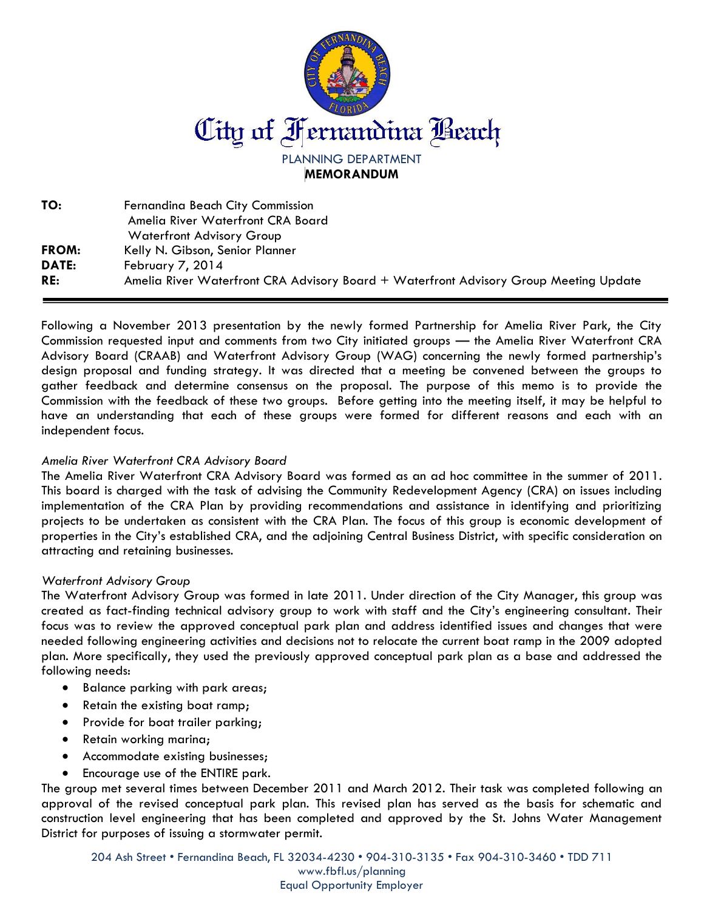

**TO:** Fernandina Beach City Commission Amelia River Waterfront CRA Board Waterfront Advisory Group **FROM:** Kelly N. Gibson, Senior Planner **DATE:** February 7, 2014 **RE:** Amelia River Waterfront CRA Advisory Board + Waterfront Advisory Group Meeting Update

Following a November 2013 presentation by the newly formed Partnership for Amelia River Park, the City Commission requested input and comments from two City initiated groups — the Amelia River Waterfront CRA Advisory Board (CRAAB) and Waterfront Advisory Group (WAG) concerning the newly formed partnership's design proposal and funding strategy. It was directed that a meeting be convened between the groups to gather feedback and determine consensus on the proposal. The purpose of this memo is to provide the Commission with the feedback of these two groups. Before getting into the meeting itself, it may be helpful to have an understanding that each of these groups were formed for different reasons and each with an independent focus.

## *Amelia River Waterfront CRA Advisory Board*

The Amelia River Waterfront CRA Advisory Board was formed as an ad hoc committee in the summer of 2011. This board is charged with the task of advising the Community Redevelopment Agency (CRA) on issues including implementation of the CRA Plan by providing recommendations and assistance in identifying and prioritizing projects to be undertaken as consistent with the CRA Plan. The focus of this group is economic development of properties in the City's established CRA, and the adjoining Central Business District, with specific consideration on attracting and retaining businesses.

## *Waterfront Advisory Group*

The Waterfront Advisory Group was formed in late 2011. Under direction of the City Manager, this group was created as fact-finding technical advisory group to work with staff and the City's engineering consultant. Their focus was to review the approved conceptual park plan and address identified issues and changes that were needed following engineering activities and decisions not to relocate the current boat ramp in the 2009 adopted plan. More specifically, they used the previously approved conceptual park plan as a base and addressed the following needs:

- Balance parking with park areas;
- Retain the existing boat ramp;
- Provide for boat trailer parking;
- Retain working marina;
- Accommodate existing businesses;
- Encourage use of the ENTIRE park.

The group met several times between December 2011 and March 2012. Their task was completed following an approval of the revised conceptual park plan. This revised plan has served as the basis for schematic and construction level engineering that has been completed and approved by the St. Johns Water Management District for purposes of issuing a stormwater permit.

204 Ash Street • Fernandina Beach, FL 32034-4230 • 904-310-3135 • Fax 904-310-3460 • TDD 711

www.fbfl.us/planning Equal Opportunity Employer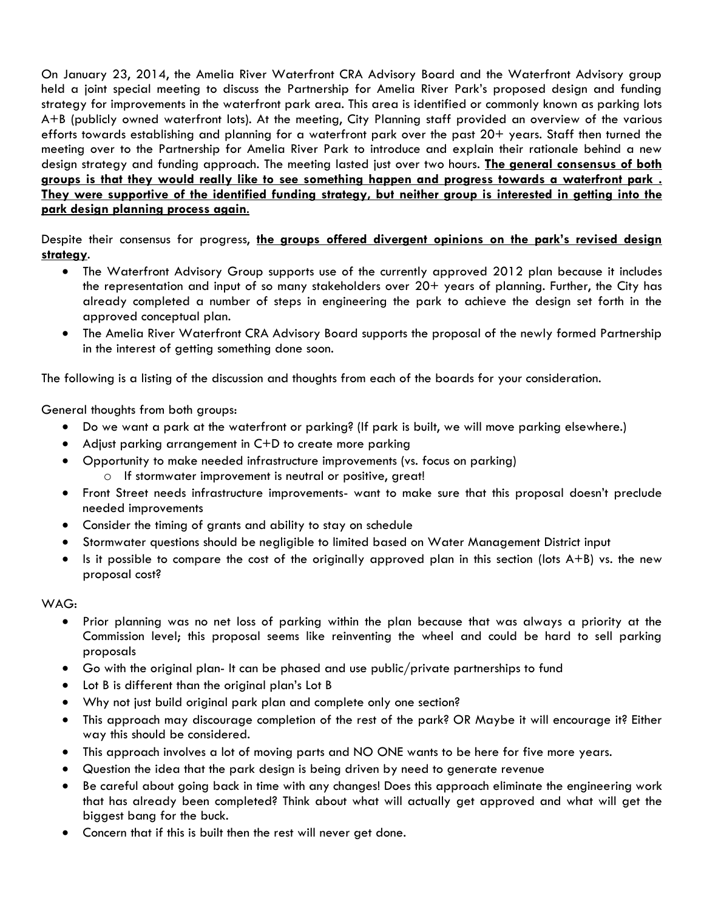On January 23, 2014, the Amelia River Waterfront CRA Advisory Board and the Waterfront Advisory group held a joint special meeting to discuss the Partnership for Amelia River Park's proposed design and funding strategy for improvements in the waterfront park area. This area is identified or commonly known as parking lots A+B (publicly owned waterfront lots). At the meeting, City Planning staff provided an overview of the various efforts towards establishing and planning for a waterfront park over the past 20+ years. Staff then turned the meeting over to the Partnership for Amelia River Park to introduce and explain their rationale behind a new design strategy and funding approach. The meeting lasted just over two hours. **The general consensus of both groups is that they would really like to see something happen and progress towards a waterfront park . They were supportive of the identified funding strategy, but neither group is interested in getting into the park design planning process again**.

Despite their consensus for progress, **the groups offered divergent opinions on the park's revised design strategy**.

- The Waterfront Advisory Group supports use of the currently approved 2012 plan because it includes the representation and input of so many stakeholders over 20+ years of planning. Further, the City has already completed a number of steps in engineering the park to achieve the design set forth in the approved conceptual plan.
- The Amelia River Waterfront CRA Advisory Board supports the proposal of the newly formed Partnership in the interest of getting something done soon.

The following is a listing of the discussion and thoughts from each of the boards for your consideration.

General thoughts from both groups:

- Do we want a park at the waterfront or parking? (If park is built, we will move parking elsewhere.)
- Adjust parking arrangement in C+D to create more parking
- Opportunity to make needed infrastructure improvements (vs. focus on parking) o If stormwater improvement is neutral or positive, great!
- Front Street needs infrastructure improvements- want to make sure that this proposal doesn't preclude needed improvements
- Consider the timing of grants and ability to stay on schedule
- Stormwater questions should be negligible to limited based on Water Management District input
- Is it possible to compare the cost of the originally approved plan in this section (lots  $A+B$ ) vs. the new proposal cost?

## WAG:

- Prior planning was no net loss of parking within the plan because that was always a priority at the Commission level; this proposal seems like reinventing the wheel and could be hard to sell parking proposals
- Go with the original plan- It can be phased and use public/private partnerships to fund
- Lot B is different than the original plan's Lot B
- Why not just build original park plan and complete only one section?
- This approach may discourage completion of the rest of the park? OR Maybe it will encourage it? Either way this should be considered.
- This approach involves a lot of moving parts and NO ONE wants to be here for five more years.
- Question the idea that the park design is being driven by need to generate revenue
- Be careful about going back in time with any changes! Does this approach eliminate the engineering work that has already been completed? Think about what will actually get approved and what will get the biggest bang for the buck.
- Concern that if this is built then the rest will never get done.